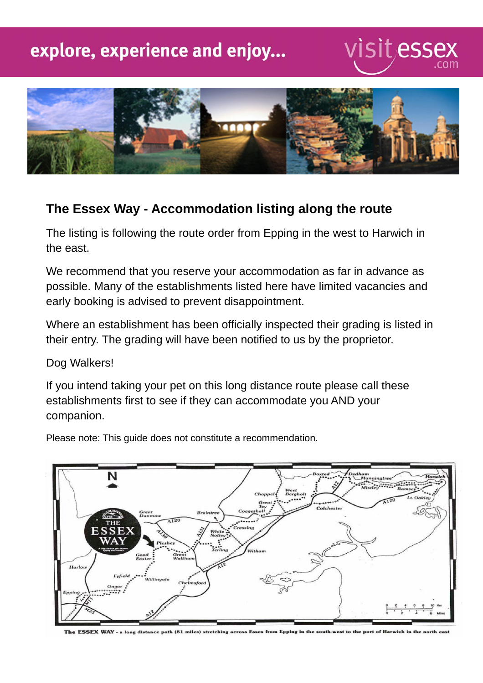## explore, experience and enjoy...

# visitessex



#### **The Essex Way - Accommodation listing along the route**

The listing is following the route order from Epping in the west to Harwich in the east.

We recommend that you reserve your accommodation as far in advance as possible. Many of the establishments listed here have limited vacancies and early booking is advised to prevent disappointment.

Where an establishment has been officially inspected their grading is listed in their entry. The grading will have been notified to us by the proprietor.

Dog Walkers!

If you intend taking your pet on this long distance route please call these establishments first to see if they can accommodate you AND your companion.

Please note: This guide does not constitute a recommendation.



The ESSEX WAY - a long distance path (81 miles) stretching across Es from Epping in the south-west to the port of Harwich in the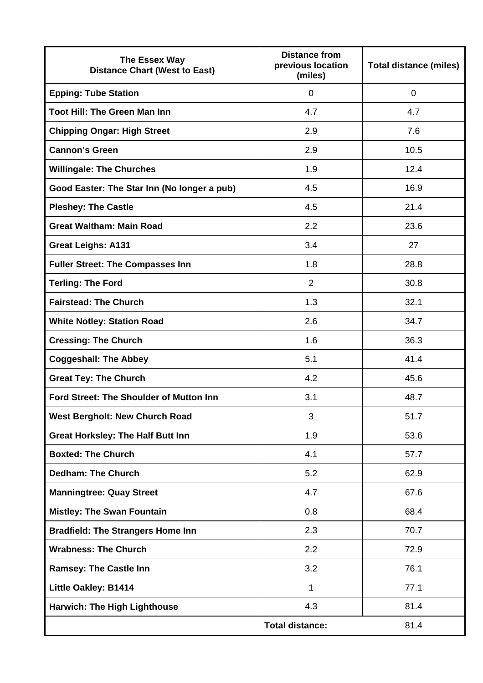| The Essex Way<br><b>Distance Chart (West to East)</b> | <b>Distance from</b><br>previous location<br>(miles) | <b>Total distance (miles)</b> |
|-------------------------------------------------------|------------------------------------------------------|-------------------------------|
| <b>Epping: Tube Station</b>                           | $\mathbf 0$                                          | 0                             |
| <b>Toot Hill: The Green Man Inn</b>                   | 4.7                                                  | 4.7                           |
| <b>Chipping Ongar: High Street</b>                    | 2.9                                                  | 7.6                           |
| <b>Cannon's Green</b>                                 | 2.9                                                  | 10.5                          |
| <b>Willingale: The Churches</b>                       | 1.9                                                  | 12.4                          |
| Good Easter: The Star Inn (No longer a pub)           | 4.5                                                  | 16.9                          |
| <b>Pleshey: The Castle</b>                            | 4.5                                                  | 21.4                          |
| <b>Great Waltham: Main Road</b>                       | 2.2                                                  | 23.6                          |
| <b>Great Leighs: A131</b>                             | 3.4                                                  | 27                            |
| <b>Fuller Street: The Compasses Inn</b>               | 1.8                                                  | 28.8                          |
| <b>Terling: The Ford</b>                              | 2                                                    | 30.8                          |
| <b>Fairstead: The Church</b>                          | 1.3                                                  | 32.1                          |
| <b>White Notley: Station Road</b>                     | 2.6                                                  | 34.7                          |
| <b>Cressing: The Church</b>                           | 1.6                                                  | 36.3                          |
| <b>Coggeshall: The Abbey</b>                          | 5.1                                                  | 41.4                          |
| <b>Great Tey: The Church</b>                          | 4.2                                                  | 45.6                          |
| <b>Ford Street: The Shoulder of Mutton Inn</b>        | 3.1                                                  | 48.7                          |
| <b>West Bergholt: New Church Road</b>                 | 3                                                    | 51.7                          |
| <b>Great Horksley: The Half Butt Inn</b>              | 1.9                                                  | 53.6                          |
| <b>Boxted: The Church</b>                             | 4.1                                                  | 57.7                          |
| <b>Dedham: The Church</b>                             | 5.2                                                  | 62.9                          |
| <b>Manningtree: Quay Street</b>                       | 4.7                                                  | 67.6                          |
| <b>Mistley: The Swan Fountain</b>                     | 0.8                                                  | 68.4                          |
| <b>Bradfield: The Strangers Home Inn</b>              | 2.3                                                  | 70.7                          |
| <b>Wrabness: The Church</b>                           | 2.2                                                  | 72.9                          |
| <b>Ramsey: The Castle Inn</b>                         | 3.2                                                  | 76.1                          |
| <b>Little Oakley: B1414</b>                           | 1                                                    | 77.1                          |
| <b>Harwich: The High Lighthouse</b>                   | 4.3                                                  | 81.4                          |
|                                                       | <b>Total distance:</b>                               | 81.4                          |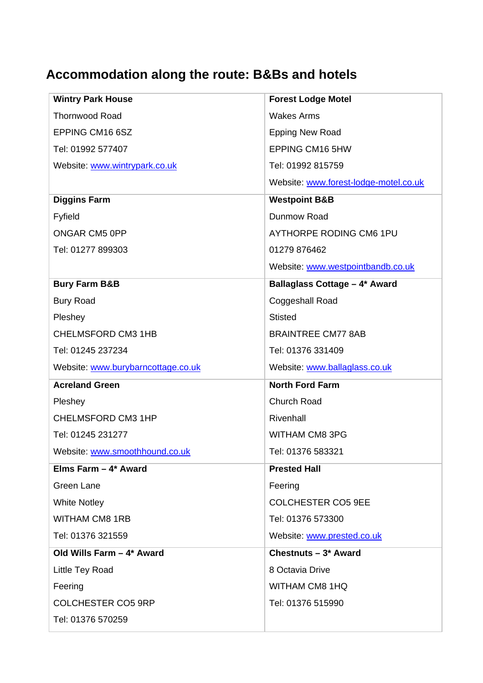### **Accommodation along the route: B&Bs and hotels**

| <b>Wintry Park House</b>           | <b>Forest Lodge Motel</b>             |
|------------------------------------|---------------------------------------|
| <b>Thornwood Road</b>              | <b>Wakes Arms</b>                     |
| EPPING CM16 6SZ                    | <b>Epping New Road</b>                |
| Tel: 01992 577407                  | <b>EPPING CM16 5HW</b>                |
| Website: www.wintrypark.co.uk      | Tel: 01992 815759                     |
|                                    | Website: www.forest-lodge-motel.co.uk |
| <b>Diggins Farm</b>                | <b>Westpoint B&amp;B</b>              |
| Fyfield                            | Dunmow Road                           |
| <b>ONGAR CM5 OPP</b>               | <b>AYTHORPE RODING CM6 1PU</b>        |
| Tel: 01277 899303                  | 01279 876462                          |
|                                    | Website: www.westpointbandb.co.uk     |
| <b>Bury Farm B&amp;B</b>           | Ballaglass Cottage - 4* Award         |
| <b>Bury Road</b>                   | Coggeshall Road                       |
| Pleshey                            | <b>Stisted</b>                        |
| CHELMSFORD CM3 1HB                 | <b>BRAINTREE CM77 8AB</b>             |
| Tel: 01245 237234                  | Tel: 01376 331409                     |
|                                    |                                       |
| Website: www.burybarncottage.co.uk | Website: www.ballaglass.co.uk         |
| <b>Acreland Green</b>              | <b>North Ford Farm</b>                |
| Pleshey                            | Church Road                           |
| CHELMSFORD CM3 1HP                 | Rivenhall                             |
| Tel: 01245 231277                  | <b>WITHAM CM8 3PG</b>                 |
| Website: www.smoothhound.co.uk     | Tel: 01376 583321                     |
| Elms Farm $-4$ * Award             | <b>Prested Hall</b>                   |
| <b>Green Lane</b>                  | Feering                               |
| <b>White Notley</b>                | <b>COLCHESTER CO5 9EE</b>             |
| <b>WITHAM CM8 1RB</b>              | Tel: 01376 573300                     |
| Tel: 01376 321559                  | Website: www.prested.co.uk            |
| Old Wills Farm - 4* Award          | Chestnuts - 3* Award                  |
| Little Tey Road                    | 8 Octavia Drive                       |
| Feering                            | <b>WITHAM CM8 1HQ</b>                 |
| COLCHESTER CO5 9RP                 | Tel: 01376 515990                     |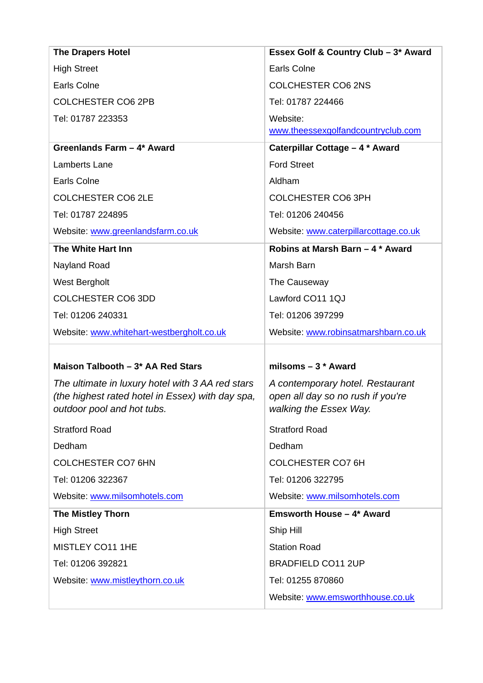| <b>The Drapers Hotel</b>                                                                             | Essex Golf & Country Club - 3* Award                                  |
|------------------------------------------------------------------------------------------------------|-----------------------------------------------------------------------|
| <b>High Street</b>                                                                                   | <b>Earls Colne</b>                                                    |
| <b>Earls Colne</b>                                                                                   | <b>COLCHESTER CO6 2NS</b>                                             |
| <b>COLCHESTER CO6 2PB</b>                                                                            | Tel: 01787 224466                                                     |
| Tel: 01787 223353                                                                                    | Website:                                                              |
|                                                                                                      | www.theessexgolfandcountryclub.com                                    |
| Greenlands Farm - 4* Award                                                                           | Caterpillar Cottage - 4 * Award                                       |
| <b>Lamberts Lane</b>                                                                                 | <b>Ford Street</b>                                                    |
| Earls Colne                                                                                          | Aldham                                                                |
| <b>COLCHESTER CO6 2LE</b>                                                                            | <b>COLCHESTER CO6 3PH</b>                                             |
| Tel: 01787 224895                                                                                    | Tel: 01206 240456                                                     |
| Website: www.greenlandsfarm.co.uk                                                                    | Website: www.caterpillarcottage.co.uk                                 |
| The White Hart Inn                                                                                   | Robins at Marsh Barn - 4 * Award                                      |
| Nayland Road                                                                                         | Marsh Barn                                                            |
| <b>West Bergholt</b>                                                                                 | The Causeway                                                          |
| <b>COLCHESTER CO6 3DD</b>                                                                            | Lawford CO11 1QJ                                                      |
| Tel: 01206 240331                                                                                    | Tel: 01206 397299                                                     |
| Website: www.whitehart-westbergholt.co.uk                                                            | Website: www.robinsatmarshbarn.co.uk                                  |
|                                                                                                      |                                                                       |
| Maison Talbooth - 3* AA Red Stars                                                                    | milsoms $-3$ * Award                                                  |
| The ultimate in luxury hotel with 3 AA red stars<br>(the highest rated hotel in Essex) with day spa, | A contemporary hotel. Restaurant<br>open all day so no rush if you're |
| outdoor pool and hot tubs.                                                                           | walking the Essex Way.                                                |
| <b>Stratford Road</b>                                                                                | <b>Stratford Road</b>                                                 |
| Dedham                                                                                               | Dedham                                                                |
| <b>COLCHESTER CO7 6HN</b>                                                                            | <b>COLCHESTER CO7 6H</b>                                              |
| Tel: 01206 322367                                                                                    | Tel: 01206 322795                                                     |
| Website: www.milsomhotels.com                                                                        | Website: www.milsomhotels.com                                         |
| <b>The Mistley Thorn</b>                                                                             | <b>Emsworth House - 4* Award</b>                                      |
| <b>High Street</b>                                                                                   | Ship Hill                                                             |
| MISTLEY CO11 1HE                                                                                     | <b>Station Road</b>                                                   |
| Tel: 01206 392821                                                                                    | <b>BRADFIELD CO11 2UP</b>                                             |
| Website: www.mistleythorn.co.uk                                                                      |                                                                       |
|                                                                                                      | Tel: 01255 870860                                                     |